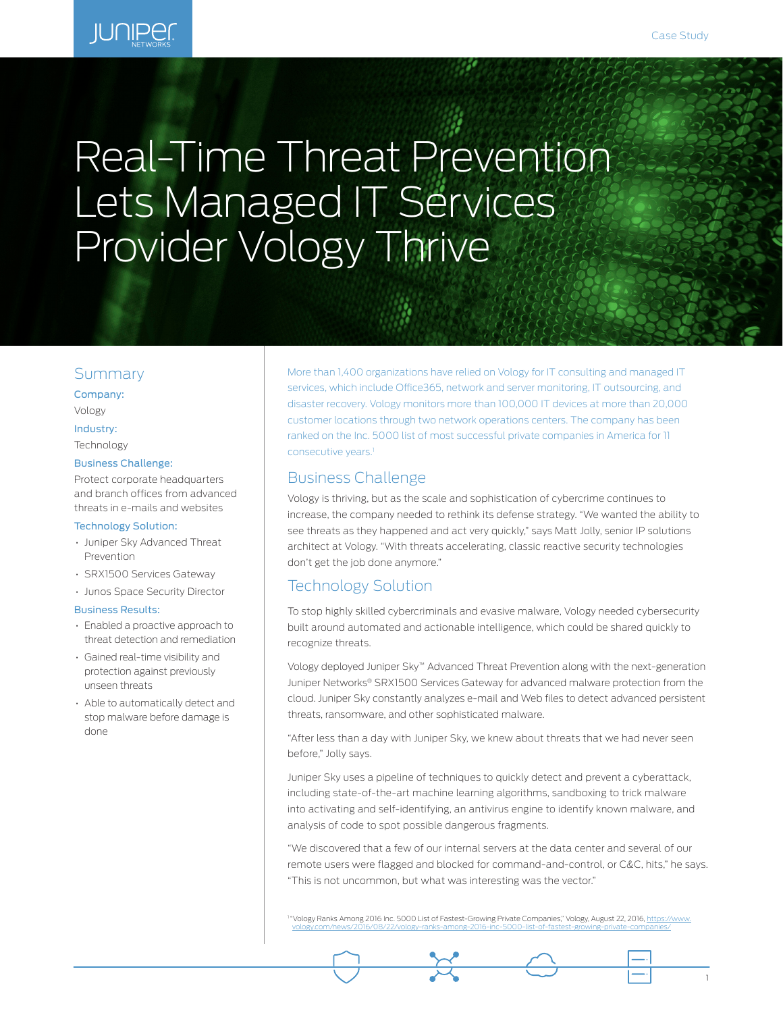# Real-Time Threat Prevention Lets Managed IT Services Provider Vology Thrive

#### Summary

Company: Vology

#### Industry:

Technology

#### Business Challenge:

Protect corporate headquarters and branch offices from advanced threats in e-mails and websites

#### Technology Solution:

- Juniper Sky Advanced Threat Prevention
- SRX1500 Services Gateway
- Junos Space Security Director

#### Business Results:

- Enabled a proactive approach to threat detection and remediation
- Gained real-time visibility and protection against previously unseen threats
- Able to automatically detect and stop malware before damage is done

More than 1,400 organizations have relied on Vology for IT consulting and managed IT services, which include Office365, network and server monitoring, IT outsourcing, and disaster recovery. Vology monitors more than 100,000 IT devices at more than 20,000 customer locations through two network operations centers. The company has been ranked on the Inc. 5000 list of most successful private companies in America for 11 consecutive years.<sup>1</sup>

## Business Challenge

Vology is thriving, but as the scale and sophistication of cybercrime continues to increase, the company needed to rethink its defense strategy. "We wanted the ability to see threats as they happened and act very quickly," says Matt Jolly, senior IP solutions architect at Vology. "With threats accelerating, classic reactive security technologies don't get the job done anymore."

## Technology Solution

To stop highly skilled cybercriminals and evasive malware, Vology needed cybersecurity built around automated and actionable intelligence, which could be shared quickly to recognize threats.

Vology deployed Juniper Sky™ Advanced Threat Prevention along with the next-generation Juniper Networks® SRX1500 Services Gateway for advanced malware protection from the cloud. Juniper Sky constantly analyzes e-mail and Web files to detect advanced persistent threats, ransomware, and other sophisticated malware.

"After less than a day with Juniper Sky, we knew about threats that we had never seen before," Jolly says.

Juniper Sky uses a pipeline of techniques to quickly detect and prevent a cyberattack, including state-of-the-art machine learning algorithms, sandboxing to trick malware into activating and self-identifying, an antivirus engine to identify known malware, and analysis of code to spot possible dangerous fragments.

"We discovered that a few of our internal servers at the data center and several of our remote users were flagged and blocked for command-and-control, or C&C, hits," he says. "This is not uncommon, but what was interesting was the vector."

1 "Vology Ranks Among 2016 Inc. 5000 List of Fastest-Growing Private Companies," Vology, August 22, 2016, <u>https://www.</u> [vology.com/news/2016/08/22/vology-ranks-among-2016-inc-5000-list-of-fastest-growing-private-companies/](https://www.vology.com/news/2016/08/22/vology-ranks-among-2016-inc-5000-list-of-fastest-growing-private-companies/)

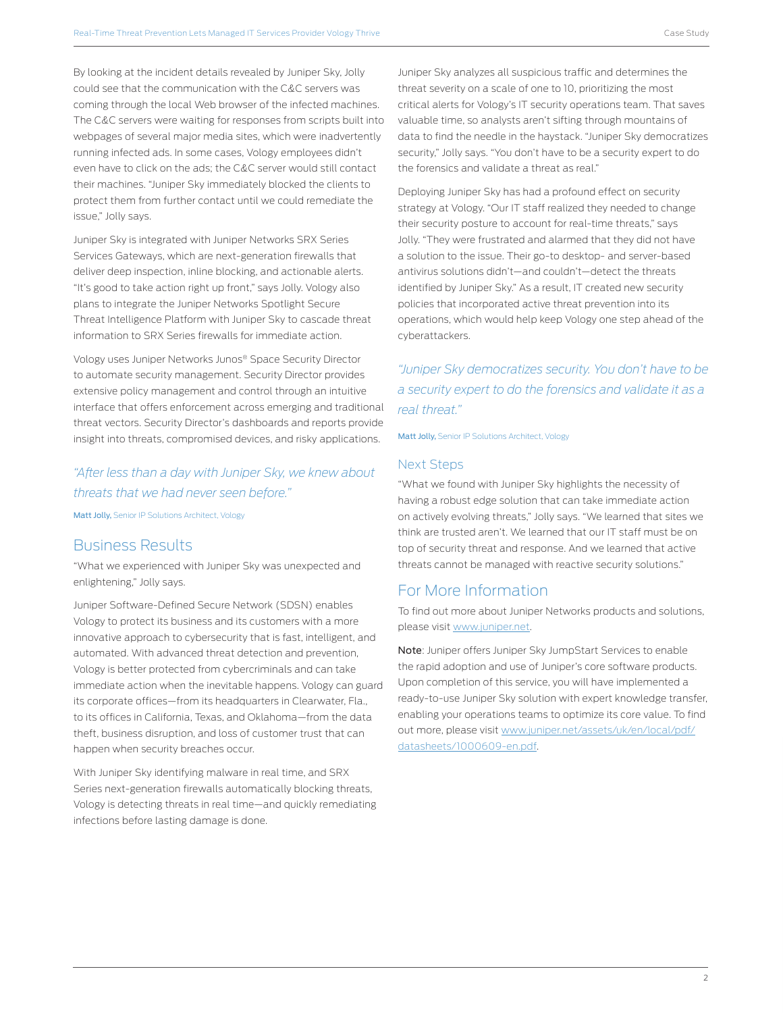By looking at the incident details revealed by Juniper Sky, Jolly could see that the communication with the C&C servers was coming through the local Web browser of the infected machines. The C&C servers were waiting for responses from scripts built into webpages of several major media sites, which were inadvertently running infected ads. In some cases, Vology employees didn't even have to click on the ads; the C&C server would still contact their machines. "Juniper Sky immediately blocked the clients to protect them from further contact until we could remediate the issue," Jolly says.

Juniper Sky is integrated with Juniper Networks SRX Series Services Gateways, which are next-generation firewalls that deliver deep inspection, inline blocking, and actionable alerts. "It's good to take action right up front," says Jolly. Vology also plans to integrate the Juniper Networks Spotlight Secure Threat Intelligence Platform with Juniper Sky to cascade threat information to SRX Series firewalls for immediate action.

Vology uses Juniper Networks Junos® Space Security Director to automate security management. Security Director provides extensive policy management and control through an intuitive interface that offers enforcement across emerging and traditional threat vectors. Security Director's dashboards and reports provide insight into threats, compromised devices, and risky applications.

# *"After less than a day with Juniper Sky, we knew about threats that we had never seen before."* Matt Jolly, Senior IP Solutions Architect, Vology

#### Business Results

"What we experienced with Juniper Sky was unexpected and enlightening," Jolly says.

Juniper Software-Defined Secure Network (SDSN) enables Vology to protect its business and its customers with a more innovative approach to cybersecurity that is fast, intelligent, and automated. With advanced threat detection and prevention, Vology is better protected from cybercriminals and can take immediate action when the inevitable happens. Vology can guard its corporate offices—from its headquarters in Clearwater, Fla., to its offices in California, Texas, and Oklahoma—from the data theft, business disruption, and loss of customer trust that can happen when security breaches occur.

With Juniper Sky identifying malware in real time, and SRX Series next-generation firewalls automatically blocking threats, Vology is detecting threats in real time—and quickly remediating infections before lasting damage is done.

Juniper Sky analyzes all suspicious traffic and determines the threat severity on a scale of one to 10, prioritizing the most critical alerts for Vology's IT security operations team. That saves valuable time, so analysts aren't sifting through mountains of data to find the needle in the haystack. "Juniper Sky democratizes security," Jolly says. "You don't have to be a security expert to do the forensics and validate a threat as real."

Deploying Juniper Sky has had a profound effect on security strategy at Vology. "Our IT staff realized they needed to change their security posture to account for real-time threats," says Jolly. "They were frustrated and alarmed that they did not have a solution to the issue. Their go-to desktop- and server-based antivirus solutions didn't—and couldn't—detect the threats identified by Juniper Sky." As a result, IT created new security policies that incorporated active threat prevention into its operations, which would help keep Vology one step ahead of the cyberattackers.

# *"Juniper Sky democratizes security. You don't have to be a security expert to do the forensics and validate it as a real threat."*

Matt Jolly, Senior IP Solutions Architect, Vology

#### Next Steps

"What we found with Juniper Sky highlights the necessity of having a robust edge solution that can take immediate action on actively evolving threats," Jolly says. "We learned that sites we think are trusted aren't. We learned that our IT staff must be on top of security threat and response. And we learned that active threats cannot be managed with reactive security solutions."

## For More Information

To find out more about Juniper Networks products and solutions, please visit [www.juniper.net](http://www.juniper.net).

Note: Juniper offers Juniper Sky JumpStart Services to enable the rapid adoption and use of Juniper's core software products. Upon completion of this service, you will have implemented a ready-to-use Juniper Sky solution with expert knowledge transfer, enabling your operations teams to optimize its core value. To find out more, please visit [www.juniper.net/assets/uk/en/local/pdf/](https://www.juniper.net/assets/uk/en/local/pdf/datasheets/1000609-en.pdf) [datasheets/1000609-en.pdf.](https://www.juniper.net/assets/uk/en/local/pdf/datasheets/1000609-en.pdf)